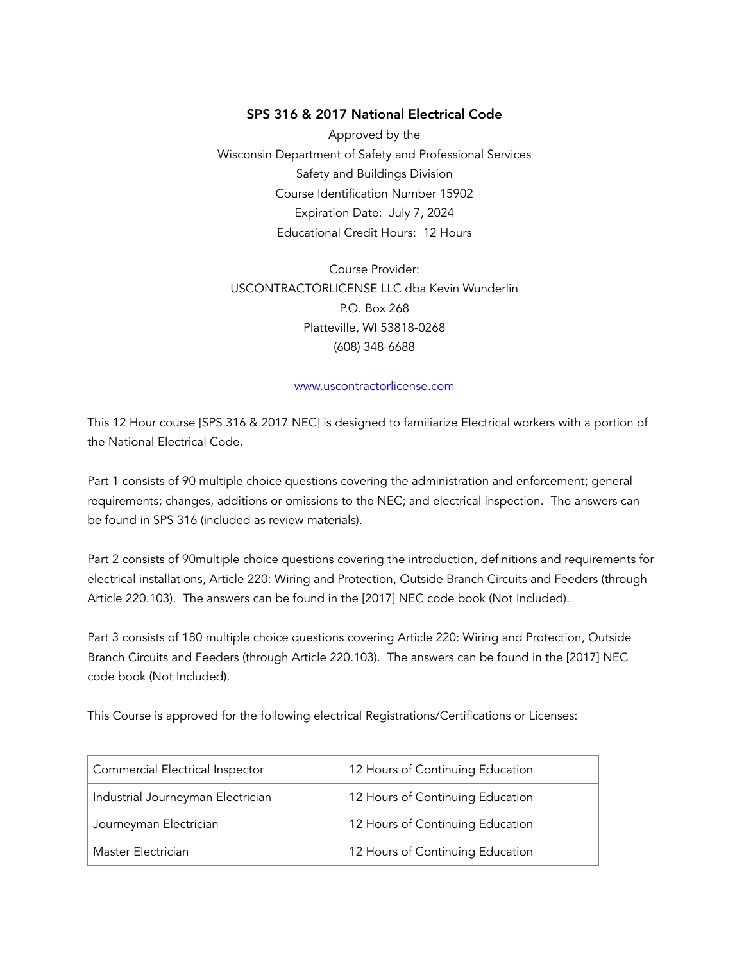## SPS 316 & 2017 National Electrical Code

Approved by the Wisconsin Department of Safety and Professional Services Safety and Buildings Division Course Identification Number 15902 Expiration Date: July 7, 2024 Educational Credit Hours: 12 Hours

Course Provider: USCONTRACTORLICENSE LLC dba Kevin Wunderlin P.O. Box 268 Platteville, WI 53818-0268 (608) 348-6688

#### [www.uscontractorlicense.com](http://www.uscontractorlicense.com)

This 12 Hour course [SPS 316 & 2017 NEC] is designed to familiarize Electrical workers with a portion of the National Electrical Code.

Part 1 consists of 90 multiple choice questions covering the administration and enforcement; general requirements; changes, additions or omissions to the NEC; and electrical inspection. The answers can be found in SPS 316 (included as review materials).

Part 2 consists of 90multiple choice questions covering the introduction, definitions and requirements for electrical installations, Article 220: Wiring and Protection, Outside Branch Circuits and Feeders (through Article 220.103). The answers can be found in the [2017] NEC code book (Not Included).

Part 3 consists of 180 multiple choice questions covering Article 220: Wiring and Protection, Outside Branch Circuits and Feeders (through Article 220.103). The answers can be found in the [2017] NEC code book (Not Included).

This Course is approved for the following electrical Registrations/Certifications or Licenses:

| Commercial Electrical Inspector   | 12 Hours of Continuing Education |
|-----------------------------------|----------------------------------|
| Industrial Journeyman Electrician | 12 Hours of Continuing Education |
| Journeyman Electrician            | 12 Hours of Continuing Education |
| Master Electrician                | 12 Hours of Continuing Education |